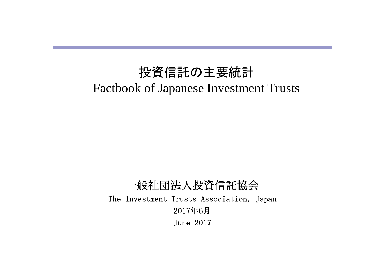# 投資信託の主要統計 Factbook of Japanese Investment Trusts

一般社団法人投資信託協会 The Investment Trusts Association, Japan 2017年6月 June 2017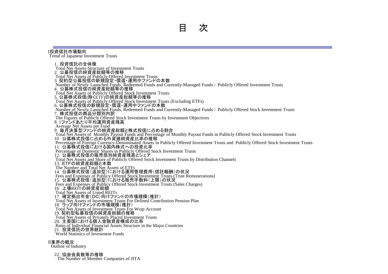#### Ⅰ投資信託市場動向

Trend of Japanese Investment Trusts

1. 投資信託の全体像 Total Net Assets-Structure of Investment Trusts 2.公募投信の純資産総額等の推移 Total Net Assets of Publicly Offered Investment Trusts 3. 契約型公募投信の新規設定・償還・運用中ファンドの本数 Number of Newly Launched Funds, Redeemed Funds and Currently-Managed Funds / Publicly Offered Investment Trusts 4.公募株式投信の純資産総額等の推移 Total Net Assets of Publicly Offered Stock Investment Trusts 5. 公募株式投信(除くETF)の純資産総額等の推移 Total Net Assets of Publicly Offered Stock Investment Trusts (Excluding ETFs) 6. 公募株式投信の新規設定・償還・運用中ファンドの本数 Number of Newly Launched Funds, Redeemed Funds and Currently-Managed Funds / Publicly Offered Stock Investment Trusts 7.株式投信の商品分類別内訳 The Figures of Publicly Offered Stock Investment Trusts by Investment Objectives 8. 1ファンドあたり平均運用資産残高 Average Net Assets per Fund 9.毎月決算型ファンドの純資産総額と株式投信に占める割合 Total Net Assets of Monthly Payout Funds and Percentage of Monthly Payout Funds in Publicly Offered Stock Investment Trusts 10.公募株式投信に占める外貨建純資産比率の推移 Percentage of Foreign Currency-Denominated Assets in Publicly Offered Investment Trusts and Publicly Offered Stock Investment Trusts 11.公募株式投信における国内株式への投資比率 Percentage of Domestic Shares in Publicly Offered Stock Investment Trusts 12. 公募株式投信の販売態別純資産残高とシェア Total Net Assets and Share of Publicly Offered Stock Investment Trusts by Distribution Channels 13.ETFの純資産総額と本数 The Number and Total Net Assets of ETFs 14.公募株式投信(追加型)における運用管理費用(信託報酬)の状況 Fees and Expenses of Publicy Offered Stock Investment Trusts (Trust Remunerations) 15.公募株式投信(追加型)における販売手数料(上限)の状況 Fees and Expenses of Publicy Offered Stock Investment Trusts (Sales Charges) 16.上場REITの純資産総額 Total Net Assets of Listed REITs 17.確定拠出年金(DC)向けファンドの市場規模(推計) Total Net Assets of Investment Trusts For Defined Contribution Pension Plan 18.ラップ向けファンドの市場規模(推計) Total Net Assets of Investment Trusts For Wrap Account 19. 契約型私募投信の純資産総額の推移 Total Net Assets of Privately Placed Investment Trusts 20.主要国における個人金融資産構成の比率 Ratio of Individual Financial Assets Structure in the Major Countries 21. 投資信託の世界統計 World Statistics of Investment Funds

#### Ⅱ業界の概況

Outline of Industry

#### 22. 協会会員数等の推移

The Number of Member Companies of JITA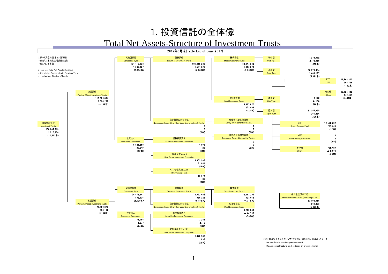#### 1. 投資信託の全体像

#### Total Net Assets-Structure of Investment Trusts

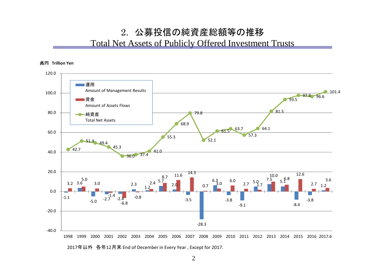#### 2. 公募投信の純資産総額等の推移

#### Total Net Assets of Publicly Offered Investment Trusts



2017年以外 各年12月末 End of December in Every Year , Except for 2017.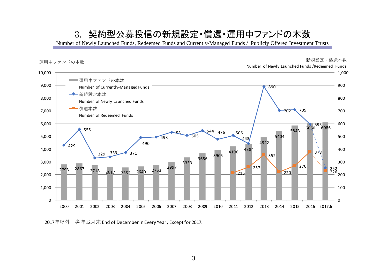#### 3. 契約型公募投信の新規設定・償還・運用中ファンドの本数

Number of Newly Launched Funds, Redeemed Funds and Currently-Managed Funds / Publicly Offered Investment Trusts



年以外 各年12月末 End of December in Every Year , Except for 2017.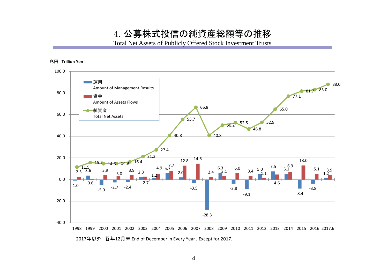4. 公募株式投信の純資産総額等の推移

Total Net Assets of Publicly Offered Stock Investment Trusts





2017年以外 各年12月末 End of December in Every Year , Except for 2017.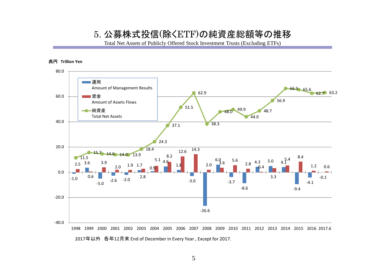#### 5. 公募株式投信(除くETF)の純資産総額等の推移

Total Net Assets of Publicly Offered Stock Investment Trusts (Excluding ETFs)

#### 兆円 **Trillion Yen**



2017年以外 各年12月末 End of December in Every Year , Except for 2017.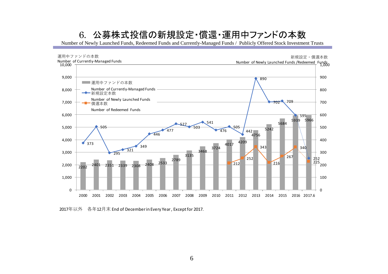### 6. 公募株式投信の新規設定・償還・運用中ファンドの本数

Number of Newly Launched Funds, Redeemed Funds and Currently-Managed Funds / Publicly Offered Stock Investment Trusts



年以外 各年12月末 End of December in Every Year , Except for 2017.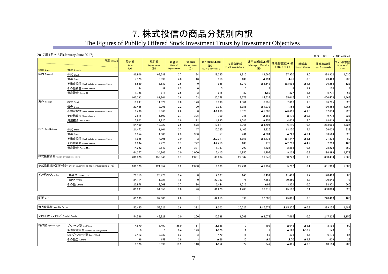### 7. 株式投信の商品分類別内訳

#### The Figures of Publicly Offered Stock Investment Trusts by Investment Objectives

#### 2017年1月~6月(January‐June 2017)

(単位 : 億円 ; ¥ 100 million)

| 地域 Area                        | 項目 ITEMS<br>資産 Assets                                                                                                                                                                        | 設定額<br><b>Sales</b><br>(A) | 解約額<br>Repurchases<br>(B) | 解約率<br>Rate of<br>Repurchases | 償還額<br>Redemptions<br>(C) | 差引増減(▲)額<br>$(D) =$<br>$(A) - ( (B) + (C) )$ | 収益分配額<br><b>Profit Distributions</b> | 運用等増減(▲)額<br><b>Managed Results</b><br>(E) | 純資産増減(▲)額<br>$((D) + (E))$ | 増減率<br>Rate of Change | 純資産総額<br><b>Total Net Assets</b> | ファンド本数<br>Number of<br>Funds |
|--------------------------------|----------------------------------------------------------------------------------------------------------------------------------------------------------------------------------------------|----------------------------|---------------------------|-------------------------------|---------------------------|----------------------------------------------|--------------------------------------|--------------------------------------------|----------------------------|-----------------------|----------------------------------|------------------------------|
| 国内 Domestic                    | 株式 Stock                                                                                                                                                                                     | 86,906                     | 68,388                    | 3.7                           | 134                       | 18,385                                       | 1,810                                | 19,565                                     | 37,950                     | 2.0                   | 328,922                          | 1,035                        |
|                                | 債券 Bond                                                                                                                                                                                      | 7,125                      | 6,990                     | 4.0                           | 18                        | 118                                          | 106                                  | ▲194                                       | ▲76                        | 0.0                   | 29,423                           | 233                          |
|                                | 不動産投信 Real Estate Investment Trusts                                                                                                                                                          | 6,589                      | 5,633                     | 2.5                           |                           | 956                                          | 1,773                                | ▲4,648                                     | ▲3,693                     | $\blacktriangle$ 1.6  | 36,258                           | 123                          |
|                                | その他資産 Other Assets                                                                                                                                                                           | 44                         | 39                        | 6.5                           |                           |                                              |                                      |                                            |                            | 1.2                   | 105                              |                              |
|                                | 資産複合 Asset Mix                                                                                                                                                                               | 1,728                      | 811                       | 2.5                           |                           | 915                                          | 82                                   | ▲89                                        | 827                        | 2.6                   | 5,771                            | 68                           |
|                                |                                                                                                                                                                                              | 102,392                    | 81,861                    | 3.6                           | 153                       | 20,378                                       | 3,772                                | 14,637                                     | 35,015                     | 1.5                   | 400,478                          | 1,463                        |
| 海外 Foreign                     | 株式 Stock                                                                                                                                                                                     | 15.097                     | 11,526                    | 3.0                           | 173                       | 3.398                                        | 1,661                                | 3,955                                      | 7,353                      | 1.9                   | 66,735                           | 825                          |
|                                | 債券 Bond                                                                                                                                                                                      | 20,485                     | 17,298                    | 2.2                           | 100                       | 3,087                                        | 5,385                                | ▲1,932                                     | 1,155                      | 0.1                   | 130,353                          | 1,264                        |
|                                | 不動産投信 Real Estate Investment Trusts                                                                                                                                                          | 8,408                      | 9,668                     | 2.6                           | Я                         | ▲1,268                                       | 5,579                                | ▲5,383                                     | ▲6,651                     | $\blacktriangle$ 1.8  | 57,614                           | 226                          |
|                                | その他資産 Other Assets                                                                                                                                                                           | 2.616                      | 1,603                     | 2.7                           | 305                       | 709                                          | 255                                  | ▲888                                       | ▲179                       | $\triangle$ 0.3       | 9,774                            | 228                          |
|                                | 資産複合 Asset Mix                                                                                                                                                                               | 7,802                      | 2,825                     | 2.9                           | 92                        | 4,885                                        | 1,086                                | ▲454                                       | 4,432                      | 4.5                   | 18,619                           | 181                          |
|                                |                                                                                                                                                                                              | 54,409                     | 42,920                    | 2.6                           | 678                       | 10,811                                       | 13,966                               | ▲4,701                                     | 6,110                      | 0.4                   | 283,096                          | 2,724                        |
| 内外 InterNational               | 株式 Stock                                                                                                                                                                                     | 21.472                     | 11,101                    | 3.7                           | 47                        | 10,325                                       | 1,463                                | 2,825                                      | 13.150                     | 4.4                   | 56.036                           | 338                          |
|                                | 債券 Bond                                                                                                                                                                                      | 5,554                      | 4,589                     | 2.3                           | 908                       | 57                                           | 731                                  | ▲284                                       | ▲227                       | $\blacktriangle$ 0.1  | 33,564                           | 328                          |
|                                | 不動産投信 Real Estate Investment Trusts                                                                                                                                                          | 1,995                      | 4,305                     | 3.0                           | 2                         | ▲2,311                                       | 1,858                                | ▲2,135                                     | ▲4,447                     | $\blacktriangle$ 3.1  | 21,338                           | 89                           |
|                                | その他資産 Other Assets                                                                                                                                                                           | 1.034                      | 2.725                     | 5.1                           | 722                       | $\triangle$ 2,413                            | 108                                  | 176                                        | ▲2,237                     | $\blacktriangle$ 4.2  | 7,739                            | 165                          |
|                                | 資産複合 Asset Mix                                                                                                                                                                               | 14,222                     | 12,143                    | 2.6                           | 321                       | 1,757                                        | 790                                  | 1,126                                      | 2,883                      | 0.6                   | 78,223                           | 859                          |
|                                |                                                                                                                                                                                              | 44,277                     | 34,862                    | 3.0                           | 2,000                     | 7,415                                        | 4,950                                | 1,707                                      | 9,122                      | 0.8                   | 196,899                          | 1,779                        |
| 株式投信合計 Stock Investment Trusts |                                                                                                                                                                                              | 201.078                    | 159,643                   | 3.1                           | 2,831                     | 38,604                                       | 22,687                               | 11,643                                     | 50,247                     | 1.0                   | 880.474                          | 5,966                        |
|                                | 株式投信(除 <etf) (excluding="" etfs)<="" investment="" stock="" td="" trusts="" 合計=""><td></td><td></td><td></td><td></td><td></td><td></td><td></td><td></td><td></td><td></td><td></td></etf)> |                            |                           |                               |                           |                                              |                                      |                                            |                            |                       |                                  |                              |
|                                |                                                                                                                                                                                              | 131,173                    | 121,954                   | 3.2                           | 2,830                     | 6,389                                        | 22,291                               | $\blacktriangle$ 1,157                     | 5,232                      | 0.1                   | 631,986                          | 5,806                        |
| インデックス Index                   | 日経225 NIKKEI225                                                                                                                                                                              | 28,715                     | 23,728                    | 3.4                           |                           | 4,987                                        | 145                                  | 6,451                                      | 11,437                     | 1.7                   | 120,486                          | 85                           |
|                                | <b>TOPIX TOPIX</b>                                                                                                                                                                           | 34,114                     | 11,321                    | 1.8                           |                           | 22,793                                       | 75                                   | 7,557                                      | 30,350                     | 4.8                   | 120,546                          | 77                           |
|                                | その他 Others                                                                                                                                                                                   | 22.978                     | 19,509                    | 3.7                           | 26                        | 3.444                                        | 1,013                                | $\blacktriangle$ 93                        | 3,351                      | 0.6                   | 88,971                           | 666                          |
|                                |                                                                                                                                                                                              | 85,807                     | 54.558                    | 3.0                           | 26                        | 31,223                                       | 1,233                                | 13,915                                     | 45,138                     | 2.4                   | 330,004                          | 828                          |
|                                |                                                                                                                                                                                              |                            |                           |                               |                           |                                              |                                      |                                            |                            |                       |                                  |                              |
| ETF ETF                        |                                                                                                                                                                                              | 69.905                     | 37,689                    | 2.8                           |                           | 32,215                                       | 396                                  | 12,800                                     | 45,015                     | 3.3                   | 248,488                          | 160                          |
| 毎月決算型 Monthly Payout           |                                                                                                                                                                                              | 53,445                     | 53,326                    | 2.6                           | 322                       | $\triangle$ 202                              | 20,627                               | ▲15,673                                    | ▲15,875                    | $\triangle$ 0.8       | 329,155                          | 1,487                        |
|                                |                                                                                                                                                                                              |                            |                           |                               |                           |                                              |                                      |                                            |                            |                       |                                  |                              |
| ファンドオブファンズ Fund of Funds       |                                                                                                                                                                                              | 54,566                     | 43,828                    | 3.0                           | 200                       | 10,538                                       | 11,068                               | ▲3,072                                     | 7.466                      | 0.5                   | 247,224                          | 2,156                        |
| 特殊型 Special Type               | ブル・ベア型 Bull/Bear                                                                                                                                                                             | 4,670                      | 5,497                     | 26.0                          | 11                        | ▲838                                         | $\sqrt{ }$                           | 193                                        | ▲645                       | $\blacktriangle$ 3.1  | 3,195                            | 90                           |
|                                | 条件付運用型 Conditional Management                                                                                                                                                                | $\cap$                     |                           | 0.4                           | 123                       | ▲128                                         |                                      | $\overline{\phantom{a}}$                   | $\triangle$ 126            | $\blacktriangle$ 10.2 | 143                              | $\mathbf{a}$                 |
|                                | ロング・ショート型 Long/Short                                                                                                                                                                         | 3,412                      | 2,930                     | 8.3                           | э                         | 479                                          | 16                                   | 57                                         | 536                        | 1.5                   | 6,176                            | 84                           |
|                                | その他型 Others                                                                                                                                                                                  | 96                         | 158                       | 3.9                           |                           | $\triangle$ 66                               | 10                                   | $\blacktriangle$                           | ▲70                        | $\blacktriangle$ 1.7  | 639                              | 23                           |
|                                |                                                                                                                                                                                              | 8.178                      | 8.590                     | 13.9                          | 140                       | ▲552                                         | 27                                   | 247                                        | ▲305                       | $\blacktriangle 0.5$  | 10,154                           | 205                          |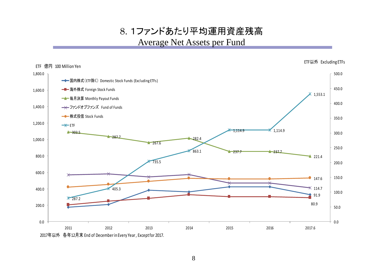8. 1ファンドあたり平均運用資産残高 Average Net Assets per Fund

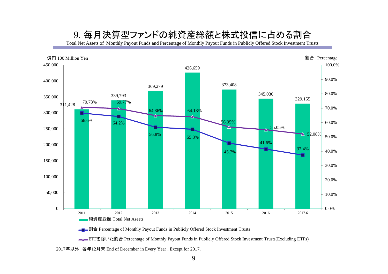### 9. 毎月決算型ファンドの純資産総額と株式投信に占める割合

Total Net Assets of Monthly Payout Funds and Percentage of Monthly Payout Funds in Publicly Offered Stock Investment Trusts



**■■■割合** Percentage of Monthly Payout Funds in Publicly Offered Stock Investment Trusts

<u>■</u> ETFを除いた割合 Percentage of Monthly Payout Funds in Publicly Offered Stock Investment Trusts(Excluding ETFs)

2017年以外 各年12月末 End of December in Every Year , Except for 2017.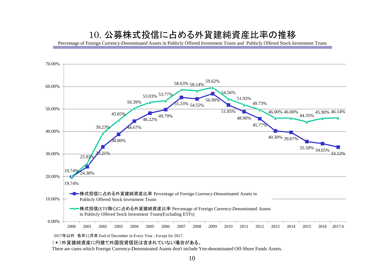#### 10. 公募株式投信に占める外貨建純資産比率の推移

Percentage of Foreign Currency-Denominated Assets in Publicly Offered Investment Trusts and Publicly Offered Stock Investment Trusts



2017年以外 各年12月末 End of December in Every Year , Except for 2017.

(\*)外貨建純資産に円建て外国投資信託は含まれていない場合がある。

There are cases which Foreign Currency-Denominated Assets don't include Yen-denominated Off-Shore Funds Assets.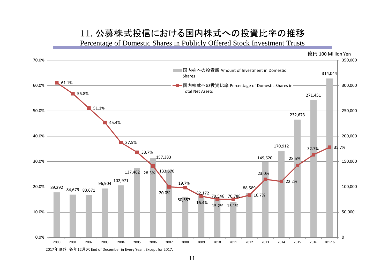#### 11. 公募株式投信における国内株式への投資比率の推移

Percentage of Domestic Shares in Publicly Offered Stock Investment Trusts

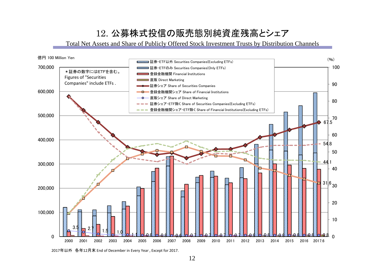## 12. 公募株式投信の販売態別純資産残高とシェア

Total Net Assets and Share of Publicly Offered Stock Investment Trusts by Distribution Channels



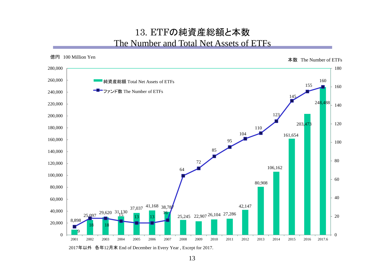#### 13. ETFの純資産総額と本数 The Number and Total Net Assets of ETFs



2017年以外 各年12月末 End of December in Every Year , Except for 2017.

13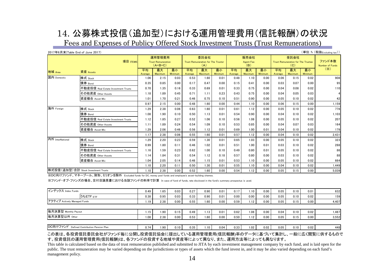## 14. 公募株式投信(追加型)における運用管理費用(信託報酬)の状況

Fees and Expenses of Publicy Offered Stock Investment Trusts (Trust Remunerations)

| 2017年6月末(Table End of June 2017)    |                                     |                                                  |                      |               |                                                          |               |               |                                 |               |               |                                                          |                      |               | (単位:%(税抜Excluding tax))          |
|-------------------------------------|-------------------------------------|--------------------------------------------------|----------------------|---------------|----------------------------------------------------------|---------------|---------------|---------------------------------|---------------|---------------|----------------------------------------------------------|----------------------|---------------|----------------------------------|
| 項目 ITEMS                            |                                     | 運用管理費用<br><b>Trust Remuneration</b><br>$(A+B+C)$ |                      |               | 委託会社<br><b>Trust Remuneration for The Trustor</b><br>(A) |               |               | 販売会社<br><b>Agent Fee</b><br>(B) |               |               | 受託会社<br><b>Trust Remuneration for The Trustee</b><br>(C) |                      |               | ファンド本数<br><b>Number of Funds</b> |
| 地域 Area                             | 資産 Assets                           | 平均<br>Average                                    | 最大<br><b>Maximum</b> | 最小<br>Minimum | 平均<br>Average                                            | 最大<br>Maximum | 最小<br>Minimum | 平均<br>Average                   | 最大<br>Maximum | 最小<br>Minimum | 平均<br>Average                                            | 最大<br><b>Maximum</b> | 最小<br>Minimum | (X)                              |
| 国内 Domestic                         | 株式 Stock                            | 1.06                                             | 2.15                 | 0.03          | 0.53                                                     | 1.60          | 0.01          | 0.48                            | 1.10          | 0.00          | 0.06                                                     | 0.15                 | 0.02          | 908                              |
|                                     | 債券 Bond                             | 0.35                                             | 0.85                 | 0.00          | 0.17                                                     | 0.47          | 0.00          | 0.15                            | 0.41          | 0.00          | 0.03                                                     | 0.07                 | 0.00          | 95                               |
|                                     | 不動産投信 Real Estate Investment Trusts | 0.70                                             | 1.35                 | 0.16          | 0.33                                                     | 0.69          | 0.01          | 0.33                            | 0.75          | 0.00          | 0.04                                                     | 0.08                 | 0.02          | 110                              |
|                                     | その他資産 Other Assets                  | 1.18                                             | 1.89                 | 0.45          | 0.71                                                     | 1.11          | 0.23          | 0.43                            | 0.75          | 0.00          | 0.04                                                     | 0.05                 | 0.03          |                                  |
|                                     | 資産複合 Asset Mix                      | 1.01                                             | 1.70                 | 0.21          | 0.46                                                     | 0.75          | 0.10          | 0.51                            | 0.90          | 0.00          | 0.05                                                     | 0.10                 | 0.02          | 42                               |
|                                     |                                     | 0.97                                             | 2.15                 | 0.00          | 0.48                                                     | 1.60          | 0.00          | 0.44                            | 1.10          | 0.00          | 0.06                                                     | 0.15                 | 0.00          | 1,159                            |
| 海外 Foreign                          | 株式 Stock                            | 1.29                                             | 2.38                 | 0.06          | 0.63                                                     | 1.60          | 0.01          | 0.61                            | 1.12          | 0.00          | 0.05                                                     | 0.10                 | 0.02          | 778                              |
|                                     | 債券 Bond                             | 1.08                                             | 1.90                 | 0.10          | 0.50                                                     | 1.13          | 0.01          | 0.54                            | 0.90          | 0.00          | 0.04                                                     | 0.10                 | 0.02          | 1,103                            |
|                                     | 不動産投信 Real Estate Investment Trusts | 1.12                                             | 1.85                 | 0.27          | 0.52                                                     | 1.06          | 0.10          | 0.56                            | 1.08          | 0.00          | 0.05                                                     | 0.10                 | 0.02          | 207                              |
|                                     | その他資産 Other Assets                  | 1.11                                             | 1.89                 | 0.24          | 0.54                                                     | 1.09          | 0.10          | 0.53                            | 0.85          | 0.00          | 0.04                                                     | 0.07                 | 0.03          | 164                              |
|                                     | 資産複合 Asset Mix                      | 1.29                                             | 2.06                 | 0.46          | 0.56                                                     | 1.12          | 0.01          | 0.69                            | 1.00          | 0.01          | 0.04                                                     | 0.10                 | 0.02          | 179                              |
|                                     |                                     | 1.17                                             | 2.38                 | 0.06          | 0.55                                                     | 1.60          | 0.01          | 0.57                            | 1.12          | 0.00          | 0.04                                                     | 0.10                 | 0.02          | 2,431                            |
| 内外 InterNational                    | 株式 Stock                            | 1.29                                             | 2.20                 | 0.23          | 0.59                                                     | 1.30          | 0.01          | 0.65                            | 1.03          | 0.00          | 0.05                                                     | 0.10                 | 0.02          | 323                              |
|                                     | 債券 Bond                             | 0.99                                             | 1.80                 | 0.11          | 0.46                                                     | 1.02          | 0.01          | 0.51                            | 1.00          | 0.01          | 0.03                                                     | 0.10                 | 0.02          | 288                              |
|                                     | 不動産投信 Real Estate Investment Trusts | 1.16                                             | 1.59                 | 0.23          | 0.62                                                     | 1.00          | 0.10          | 0.49                            | 0.80          | 0.01          | 0.05                                                     | 0.10                 | 0.02          | 86                               |
|                                     | その他資産 Other Assets                  | 1.14                                             | 1.84                 | 0.31          | 0.54                                                     | 1.12          | 0.18          | 0.57                            | 0.80          | 0.00          | 0.03                                                     | 0.10                 | 0.02          | 88                               |
|                                     | 資産複合 Asset Mix                      | 1.04                                             | 2.05                 | 0.14          | 0.46                                                     | 1.15          | 0.01          | 0.53                            | 1.10          | 0.00          | 0.05                                                     | 0.10                 | 0.02          | 664                              |
|                                     |                                     | 1.10                                             | 2.20                 | 0.11          | 0.50                                                     | 1.30          | 0.01          | 0.55                            | 1.10          | 0.00          | 0.04                                                     | 0.10                 | 0.02          | 1,449                            |
| 株式投信(追加型)合計 Stock Investment Trusts |                                     | 1.10                                             | 2.38                 | 0.00          | 0.52                                                     | 1.60          | 0.00          | 0.54                            | 1.12          | 0.00          | 0.05                                                     | 0.15                 | 0.00          | 5,039                            |

※DC向けファンド、マネープール、財形、ミリオンを除外 Excluded funds for DC, money pool funds and employee's asset-building shemes.

※ファンド・オブ・ファンズの場合、交付目論見書における当該ファンドの料率で計算 In case of fund of funds, rate disclosed in the fund's summary prospectus is used.

| インデックス Index Funds                         |      | .65       | 0.03 | 0.27 | 0.90     | 0.01 | 0.17 | 1.10 | 0.00 | 0.05 | 0.10 | 0.01 | 632   |
|--------------------------------------------|------|-----------|------|------|----------|------|------|------|------|------|------|------|-------|
| <b>SSETF ETF</b>                           | 0.38 | 0.95      | 0.03 | 0.33 | 0.90     | 0.01 | 0.00 | 0.00 | 0.00 | 0.05 | 0.10 | 0.02 | 159   |
| アクティブ Actively Managed Funds               |      | 2.38      | 0.00 | 0.55 | $1.60$   | 0.00 | 0.59 | 1.12 | 0.00 | 0.05 | 0.15 | 0.00 | 4,407 |
|                                            |      |           |      |      |          |      |      |      |      |      |      |      |       |
| 毎月決算型 Monthly Payout                       | 1.15 | <b>90</b> | 0.15 | 0.49 | 1.13     | 0.01 | 0.62 | 1.08 | 0.00 | 0.04 | 0.10 | 0.02 | 1.487 |
| 每月決算型以外 Other                              |      | 2.38      | 0.00 | 0.53 | 1.60     | 0.00 | 0.50 | 1.12 | 0.00 | 0.05 | 0.15 | 0.00 | 3,552 |
|                                            |      |           |      |      |          |      |      |      |      |      |      |      |       |
| DC向けファンド Defined Contribution Pension Plan |      | .90       | 0.10 | 0.35 | $1.10$ , | 0.04 | 0.33 | 1.02 | 0.02 | 0.05 | 0.10 | 0.02 | 448   |

この表は、各投資信託委託会社がファンド毎に公開し投資信託協会に提出している運用管理費用(信託報酬)率のデータに基づいて集計し、一般に広く閲覧に供するもので す。投資信託の運用管理費用(信託報酬)は、各ファンドの投資する地域や資産等によって異なり、また、運用方法等によっても異なります。

This table is calculated based on the data of trust remuneration published and submitted to JITA by each investment management company by each fund, and is laid open for the public. The trust remuneration may be varied depending on the jurisdictions or types of assets which the fund invest in, and it may be also varied depending on each fund's management policy.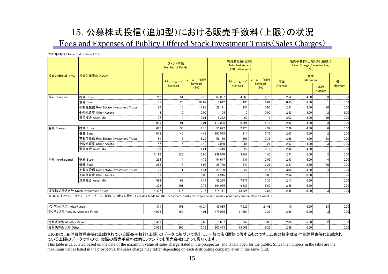## 15. 公募株式投信(追加型)における販売手数料(上限)の状況 Fees and Expenses of Publicy Offered Stock Investment Trusts(Sales Charges)

2017年6月末(Table End of June 2017)

|                  |                                     |       | ファンド本数<br><b>Number of Funds</b> |                 |         | 純資産総額(億円)<br><b>Total Net Assets</b><br>(100 million yen) |                    | 販売手数料(上限)(%(税抜))<br>Sales Charge (Excluding tax)<br>(96) |               |                     |                 |  |
|------------------|-------------------------------------|-------|----------------------------------|-----------------|---------|-----------------------------------------------------------|--------------------|----------------------------------------------------------|---------------|---------------------|-----------------|--|
| 投資対象地域 Area      | 投資対象資産 Assets                       |       | うちノーロード                          | ノーロード割合         |         | うちノーロード                                                   | ノーロード割合<br>No-load | 平均                                                       | 最大<br>Maximum |                     | 最小              |  |
|                  |                                     |       | No-load                          | No-load<br>(96) |         | No-load                                                   | (96)               | Average                                                  |               | 本数<br><b>Number</b> | Minimum         |  |
| 国内 Domestic      | 株式 Stock                            | 712   | 51                               | 7.16            | 67.857  | 4.563                                                     | 6.73               | 2.52                                                     | 4.00          |                     | 0.00            |  |
|                  | 債券 Bond                             | 71    | 26                               | 36.62           | 8.642   | 1.436                                                     | 16.61              | 0.65                                                     | 3.00          |                     | 0.00            |  |
|                  | 不動産投信 Real Estate Investment Trusts | 86    | 10                               | 11.63           | 28.121  | 234                                                       | 0.83               | 2.21                                                     | 3.00          | 36                  | 0.00            |  |
|                  | その他資産 Other Assets                  |       |                                  | 0.00            | 104     |                                                           | 0.00               | 2.33                                                     | 3.00          |                     | 1.00            |  |
|                  | 資産複合 Asset Mix                      | 37    |                                  | 10.81           | 5.372   | 60                                                        | 1.13               | 2.03                                                     | 3.00          | 19                  | 0.00            |  |
|                  |                                     | 909   | 91                               | 10.01           | 110.096 | 6,294                                                     | 5.72               | 2.32                                                     | 4.00          |                     | 0.00            |  |
| 海外 Foreign       | 株式 Stock                            | 685   | 56                               | 8.18            | 50.697  | 2.225                                                     | 4.39               | 2.79                                                     | 4.00          |                     | 0.00<br>ananana |  |
|                  | 債券 Bond                             | 1,018 | 45                               | 4.42            | 107.578 | 814                                                       | 0.76               | 2.63                                                     | 5.00          |                     | 0.00<br>-----   |  |
|                  | 不動産投信 Real Estate Investment Trusts | 181   | 15                               | 8.29            | 56.166  | 201                                                       | 0.36               | 2.68                                                     | 3.50          |                     | 0.00            |  |
|                  | その他資産 Other Assets                  | 147   |                                  | 3.40            | 7.080   | 86                                                        | 1.21               | 2.63                                                     | 4.00          |                     | 0.00            |  |
|                  | 資産複合 Asset Mix                      | 165   | $\mathfrak{p}$                   | 1.21            | 18.419  | 22                                                        | 0.12               | 2.96                                                     | 4.00          |                     | 0.00            |  |
|                  |                                     | 2.196 | 123                              | 5.60            | 239,940 | 3.347                                                     | 1.40               | 2.71                                                     | 5.00          |                     | 0.00            |  |
| 内外 InterNational | 株式 Stock                            | 294   | 14                               | 4.76            | 54.947  | 1.131                                                     | 2.06               | 2.93                                                     | 4.00          |                     | 0.00            |  |
|                  | 債券 Bond                             | 258   | 18                               | 6.98            | 28.749  | 649                                                       | 2.26               | 2.37                                                     | 3.50          | 20                  | 0.00            |  |
|                  | 不動産投信 Real Estate Investment Trusts | 71    |                                  | 1.41            | 20.189  | 27                                                        | 0.14               | 3.08                                                     | 4.00          |                     | 0.00            |  |
|                  | その他資産 Other Assets                  | 81    | $\Omega$                         | 0.00            | 4.915   |                                                           | 0.00               | 2.64                                                     | 3.50          |                     | 0.70            |  |
|                  | 資産複合 Asset Mix                      | 598   | 68                               | 11.37           | 55.275  | 7.377                                                     | 13.35              | 2.17                                                     | 5.00          |                     | 0.00            |  |
|                  |                                     | 1.302 | 101                              | 7.76            | 164.075 | 9.185                                                     | 5.60               | 2.46                                                     | 5.00          |                     | 0.00            |  |
|                  | 追加株式投信合計 Stock Investment Trusts    | 4.407 | 315                              | 7.15            | 514,111 | 18,825                                                    | 3.66               | 2.55                                                     | 5.00          |                     | 0.00            |  |

※DC向けファンド、ラップ、マネープール、財形、ミリオンを除外 Excluded funds for DC, investment trusts for wrap account, money pool funds and employee's asset-t

| 【インデックス型 Index Funds          | 371   | 153 | 41.24 | 35.035  | 7.525                                    | 21.48 | .10  | 3.00 | 0.00 |
|-------------------------------|-------|-----|-------|---------|------------------------------------------|-------|------|------|------|
| アクティブ型 Actively Managed Funds | 4.036 | 162 | 4.01  | 479.075 | 1.300                                    | 2.36  | 2.69 | 5.00 | 0.00 |
|                               |       |     |       |         |                                          |       |      |      |      |
| 毎月決算型 Monthly Payout          | .451  | 10  | 0.69  | 313.637 | 257<br>the control of the control of the | 0.08  | 2.88 | 5.00 | 0.00 |
| 每月決算型以外 Other                 | 2.956 | 305 | 10.32 | 200.473 | 18,569                                   | 9.26  | 2.39 | 5.00 | 0.00 |

この表は、交付目論見書等に記載されている販売手数料(上限)のデータに基づいて集計し、一般に広く閲覧に供するものです。上表の数字は交付目論見書等に記載され ている上限のデータですので、実際の販売手数料は同じファンドでも販売会社によって異なります。

This table is calculated based on the data of the maximum value of sales charge stated in the prospectus, and is laid open for the public. Since the numbers in the table are the maximum values listed in the prospectus, the sales charge may differ depending on each distributing company even in the same fund.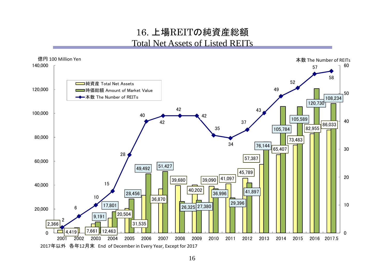### 16. 上場REITの純資産総額 Total Net Assets of Listed REITs

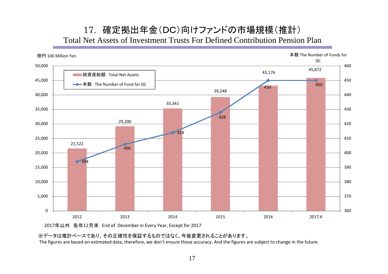### 17. 確定拠出年金(DC)向けファンドの市場規模(推計) Total Net Assets of Investment Trusts For Defined Contribution Pension Plan



2017年以外 各年12月末 End of December in Every Year, Except for 2017

※データは推計ベースであり、その正確性を保証するものではなく、今後変更されることがあります。

The figures are based on estimated data, therefore, we don't ensure those accuracy. And the figures are subject to change in the future.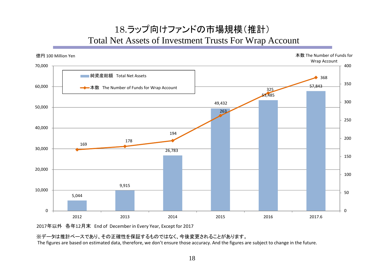## 18.ラップ向けファンドの市場規模(推計) Total Net Assets of Investment Trusts For Wrap Account



2017年以外 各年12月末 End of December in Every Year, Except for 2017

※データは推計ベースであり、その正確性を保証するものではなく、今後変更されることがあります。

The figures are based on estimated data, therefore, we don't ensure those accuracy. And the figures are subject to change in the future.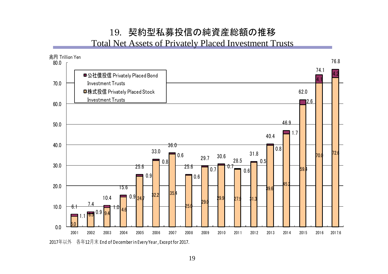## 19. 契約型私募投信の純資産総額の推移

Total Net Assets of Privately Placed Investment Trusts

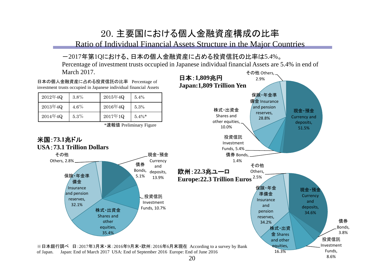## 20. 主要国における個人金融資産構成の比率

Ratio of Individual Financial Assets Structure in the Major Countries

#### -2017年第1Qにおける、日本の個人金融資産に占める投資信託の比率は5.4%。

その他 Others, Percentage of investment trusts occupied in Japanese individual financial Assets are 5.4% in end of March 2017.

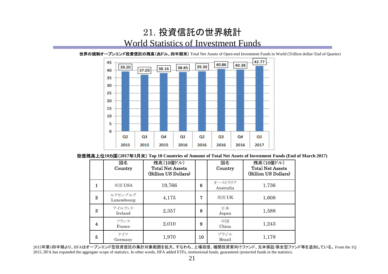### 21. 投資信託の世界統計 World Statistics of Investment Funds

42.77 45 40.86 40.38 39.30 39.20 38.85 38.16 37.03 40 35 30 25 20 15 10 5  $\mathbf 0$  $Q<sub>2</sub>$  $Q<sub>3</sub>$  $Q<sub>4</sub>$ Q<sub>3</sub> Q4  $Q1$  $Q<sub>2</sub>$ Q1 2015 2015 2015 2016 2016 2017 2016 2016

世界の規制オープンエンド投資信託の残高(兆ドル、四半期末) Total Net Assets of Open-end Investment Funds in World (Trillion dollar/ End of Quarter)

投信残高上位**10**カ国(**2017**年**3**月末) **Top 10 Countries of Amount of Total Net Assets of Investment Funds (End of March 2017)**

|                | 国名<br>Country         | 残高(10億ドル)<br><b>Total Net Assets</b><br>(Billion US Dollars) |    | 国名<br>Country        | 残高(10億ドル)<br><b>Total Net Assets</b><br>(Billion US Dollars) |
|----------------|-----------------------|--------------------------------------------------------------|----|----------------------|--------------------------------------------------------------|
| 1              | 米国 USA                | 19,766                                                       | 6  | オーストラリア<br>Australia | 1,736                                                        |
| $\mathbf{2}$   | ルクセンブルグ<br>Luxembourg | 4,175                                                        | 7  | 英国 UK                | 1,608                                                        |
| 3              | アイルランド<br>Ireland     | 2,357                                                        | 8  | 日本<br>Japan          | 1,588                                                        |
| 4              | フランス<br>France        | 2,010                                                        | 9  | 中国<br>China          | 1,243                                                        |
| $\overline{5}$ | ドイツ<br>Germany        | 1,970                                                        | 10 | ブラジル<br>Brazil       | 1,178                                                        |

2015年第1四半期より、IIFAはオープンエンド型投資信託の集計対象範囲を拡大、すなわち、上場投信、機関投資家向けファンド、元本保証/保全型ファンド等を追加している。 From the 1Q 2015, IIFA has expanded the aggregate scope of statistics. In other words, IIFA added ETFs, institutional funds, guaranteed /protected funds in the statistics.